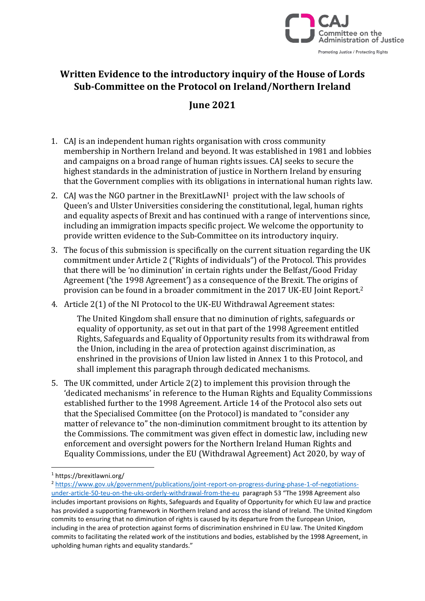

## **Written Evidence to the introductory inquiry of the House of Lords Sub-Committee on the Protocol on Ireland/Northern Ireland**

## **June 2021**

- 1. CAJ is an independent human rights organisation with cross community membership in Northern Ireland and beyond. It was established in 1981 and lobbies and campaigns on a broad range of human rights issues. CAJ seeks to secure the highest standards in the administration of justice in Northern Ireland by ensuring that the Government complies with its obligations in international human rights law.
- 2. CAJ was the NGO partner in the BrexitLawNI1 project with the law schools of Queen's and Ulster Universities considering the constitutional, legal, human rights and equality aspects of Brexit and has continued with a range of interventions since, including an immigration impacts specific project. We welcome the opportunity to provide written evidence to the Sub-Committee on its introductory inquiry.
- 3. The focus of this submission is specifically on the current situation regarding the UK commitment under Article 2 ("Rights of individuals") of the Protocol. This provides that there will be 'no diminution' in certain rights under the Belfast/Good Friday Agreement ('the 1998 Agreement') as a consequence of the Brexit. The origins of provision can be found in a broader commitment in the 2017 UK-EU Joint Report. 2
- 4. Article 2(1) of the NI Protocol to the UK-EU Withdrawal Agreement states:

The United Kingdom shall ensure that no diminution of rights, safeguards or equality of opportunity, as set out in that part of the 1998 Agreement entitled Rights, Safeguards and Equality of Opportunity results from its withdrawal from the Union, including in the area of protection against discrimination, as enshrined in the provisions of Union law listed in Annex 1 to this Protocol, and shall implement this paragraph through dedicated mechanisms.

5. The UK committed, under Article 2(2) to implement this provision through the 'dedicated mechanisms' in reference to the Human Rights and Equality Commissions established further to the 1998 Agreement. Article 14 of the Protocol also sets out that the Specialised Committee (on the Protocol) is mandated to "consider any matter of relevance to" the non-diminution commitment brought to its attention by the Commissions. The commitment was given effect in domestic law, including new enforcement and oversight powers for the Northern Ireland Human Rights and Equality Commissions, under the EU (Withdrawal Agreement) Act 2020, by way of

<sup>1</sup> https://brexitlawni.org/

<sup>2</sup> [https://www.gov.uk/government/publications/joint-report-on-progress-during-phase-1-of-negotiations](https://www.gov.uk/government/publications/joint-report-on-progress-during-phase-1-of-negotiations-under-article-50-teu-on-the-uks-orderly-withdrawal-from-the-eu)[under-article-50-teu-on-the-uks-orderly-withdrawal-from-the-eu](https://www.gov.uk/government/publications/joint-report-on-progress-during-phase-1-of-negotiations-under-article-50-teu-on-the-uks-orderly-withdrawal-from-the-eu) paragraph 53 "The 1998 Agreement also includes important provisions on Rights, Safeguards and Equality of Opportunity for which EU law and practice has provided a supporting framework in Northern Ireland and across the island of Ireland. The United Kingdom commits to ensuring that no diminution of rights is caused by its departure from the European Union, including in the area of protection against forms of discrimination enshrined in EU law. The United Kingdom commits to facilitating the related work of the institutions and bodies, established by the 1998 Agreement, in upholding human rights and equality standards."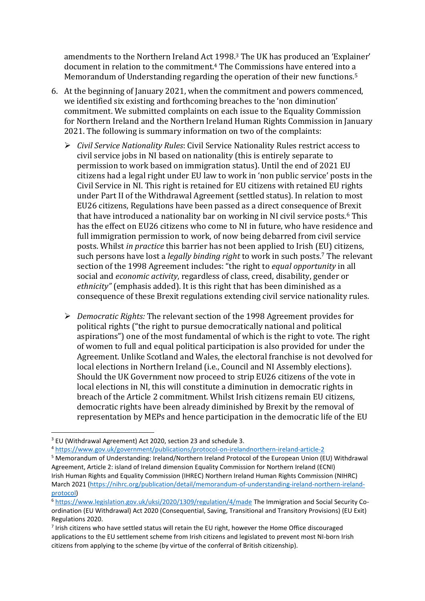amendments to the Northern Ireland Act 1998. <sup>3</sup> The UK has produced an 'Explainer' document in relation to the commitment.<sup>4</sup> The Commissions have entered into a Memorandum of Understanding regarding the operation of their new functions.<sup>5</sup>

- 6. At the beginning of January 2021, when the commitment and powers commenced, we identified six existing and forthcoming breaches to the 'non diminution' commitment. We submitted complaints on each issue to the Equality Commission for Northern Ireland and the Northern Ireland Human Rights Commission in January 2021. The following is summary information on two of the complaints:
	- ➢ *Civil Service Nationality Rules*: Civil Service Nationality Rules restrict access to civil service jobs in NI based on nationality (this is entirely separate to permission to work based on immigration status). Until the end of 2021 EU citizens had a legal right under EU law to work in 'non public service' posts in the Civil Service in NI. This right is retained for EU citizens with retained EU rights under Part II of the Withdrawal Agreement (settled status). In relation to most EU26 citizens, Regulations have been passed as a direct consequence of Brexit that have introduced a nationality bar on working in NI civil service posts.<sup>6</sup> This has the effect on EU26 citizens who come to NI in future, who have residence and full immigration permission to work, of now being debarred from civil service posts. Whilst *in practice* this barrier has not been applied to Irish (EU) citizens, such persons have lost a *legally binding right* to work in such posts. <sup>7</sup> The relevant section of the 1998 Agreement includes: "the right to *equal opportunity* in all social and *economic activity*, regardless of class, creed, disability, gender or *ethnicity"* (emphasis added). It is this right that has been diminished as a consequence of these Brexit regulations extending civil service nationality rules.
	- ➢ *Democratic Rights:* The relevant section of the 1998 Agreement provides for political rights ("the right to pursue democratically national and political aspirations") one of the most fundamental of which is the right to vote. The right of women to full and equal political participation is also provided for under the Agreement. Unlike Scotland and Wales, the electoral franchise is not devolved for local elections in Northern Ireland (i.e., Council and NI Assembly elections). Should the UK Government now proceed to strip EU26 citizens of the vote in local elections in NI, this will constitute a diminution in democratic rights in breach of the Article 2 commitment. Whilst Irish citizens remain EU citizens, democratic rights have been already diminished by Brexit by the removal of representation by MEPs and hence participation in the democratic life of the EU

<sup>3</sup> EU (Withdrawal Agreement) Act 2020, section 23 and schedule 3.

<sup>4</sup> <https://www.gov.uk/government/publications/protocol-on-irelandnorthern-ireland-article-2>

<sup>5</sup> Memorandum of Understanding: Ireland/Northern Ireland Protocol of the European Union (EU) Withdrawal Agreement, Article 2: island of Ireland dimension Equality Commission for Northern Ireland (ECNI) Irish Human Rights and Equality Commission (IHREC) Northern Ireland Human Rights Commission (NIHRC) March 2021 [\(https://nihrc.org/publication/detail/memorandum-of-understanding-ireland-northern-ireland](https://nihrc.org/publication/detail/memorandum-of-understanding-ireland-northern-ireland-protocol)[protocol\)](https://nihrc.org/publication/detail/memorandum-of-understanding-ireland-northern-ireland-protocol)

<sup>6</sup> <https://www.legislation.gov.uk/uksi/2020/1309/regulation/4/made> The Immigration and Social Security Coordination (EU Withdrawal) Act 2020 (Consequential, Saving, Transitional and Transitory Provisions) (EU Exit) Regulations 2020.

<sup>&</sup>lt;sup>7</sup> Irish citizens who have settled status will retain the EU right, however the Home Office discouraged applications to the EU settlement scheme from Irish citizens and legislated to prevent most NI-born Irish citizens from applying to the scheme (by virtue of the conferral of British citizenship).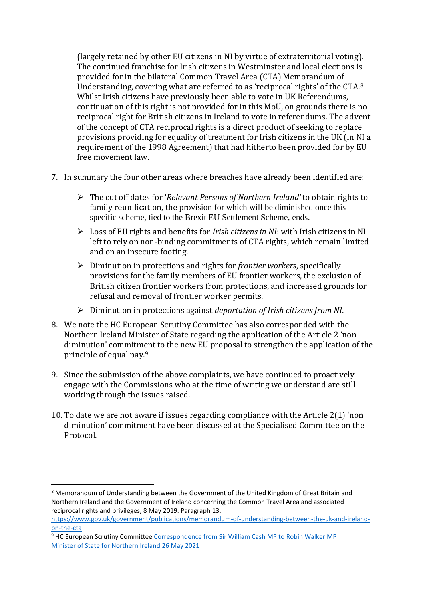(largely retained by other EU citizens in NI by virtue of extraterritorial voting). The continued franchise for Irish citizens in Westminster and local elections is provided for in the bilateral Common Travel Area (CTA) Memorandum of Understanding, covering what are referred to as 'reciprocal rights' of the CTA.<sup>8</sup> Whilst Irish citizens have previously been able to vote in UK Referendums, continuation of this right is not provided for in this MoU, on grounds there is no reciprocal right for British citizens in Ireland to vote in referendums. The advent of the concept of CTA reciprocal rights is a direct product of seeking to replace provisions providing for equality of treatment for Irish citizens in the UK (in NI a requirement of the 1998 Agreement) that had hitherto been provided for by EU free movement law.

- 7. In summary the four other areas where breaches have already been identified are:
	- ➢ The cut off dates for '*Relevant Persons of Northern Ireland'* to obtain rights to family reunification, the provision for which will be diminished once this specific scheme, tied to the Brexit EU Settlement Scheme, ends.
	- ➢ Loss of EU rights and benefits for *Irish citizens in NI*: with Irish citizens in NI left to rely on non-binding commitments of CTA rights, which remain limited and on an insecure footing.
	- ➢ Diminution in protections and rights for *frontier workers*, specifically provisions for the family members of EU frontier workers, the exclusion of British citizen frontier workers from protections, and increased grounds for refusal and removal of frontier worker permits.
	- ➢ Diminution in protections against *deportation of Irish citizens from NI*.
- 8. We note the HC European Scrutiny Committee has also corresponded with the Northern Ireland Minister of State regarding the application of the Article 2 'non diminution' commitment to the new EU proposal to strengthen the application of the principle of equal pay.<sup>9</sup>
- 9. Since the submission of the above complaints, we have continued to proactively engage with the Commissions who at the time of writing we understand are still working through the issues raised.
- 10. To date we are not aware if issues regarding compliance with the Article 2(1) 'non diminution' commitment have been discussed at the Specialised Committee on the **Protocol**

<sup>&</sup>lt;sup>8</sup> Memorandum of Understanding between the Government of the United Kingdom of Great Britain and Northern Ireland and the Government of Ireland concerning the Common Travel Area and associated reciprocal rights and privileges, 8 May 2019. Paragraph 13.

[https://www.gov.uk/government/publications/memorandum-of-understanding-between-the-uk-and-ireland](https://www.gov.uk/government/publications/memorandum-of-understanding-between-the-uk-and-ireland-on-the-cta)[on-the-cta](https://www.gov.uk/government/publications/memorandum-of-understanding-between-the-uk-and-ireland-on-the-cta)

<sup>9</sup> HC European Scrutiny Committee [Correspondence from Sir William Cash MP to Robin Walker MP](https://www.google.com/search?client=firefox-b-d&q=Article+2%281%29+of+the+Northern+Ireland+Protocol%3A+Upholding+human+rights+and+equality+standards%E2%80%94new+EU+proposal+to+strengthen+the+application+of+the+principle+of+equal+pay) [Minister of State for Northern Ireland 26 May 2021](https://www.google.com/search?client=firefox-b-d&q=Article+2%281%29+of+the+Northern+Ireland+Protocol%3A+Upholding+human+rights+and+equality+standards%E2%80%94new+EU+proposal+to+strengthen+the+application+of+the+principle+of+equal+pay)